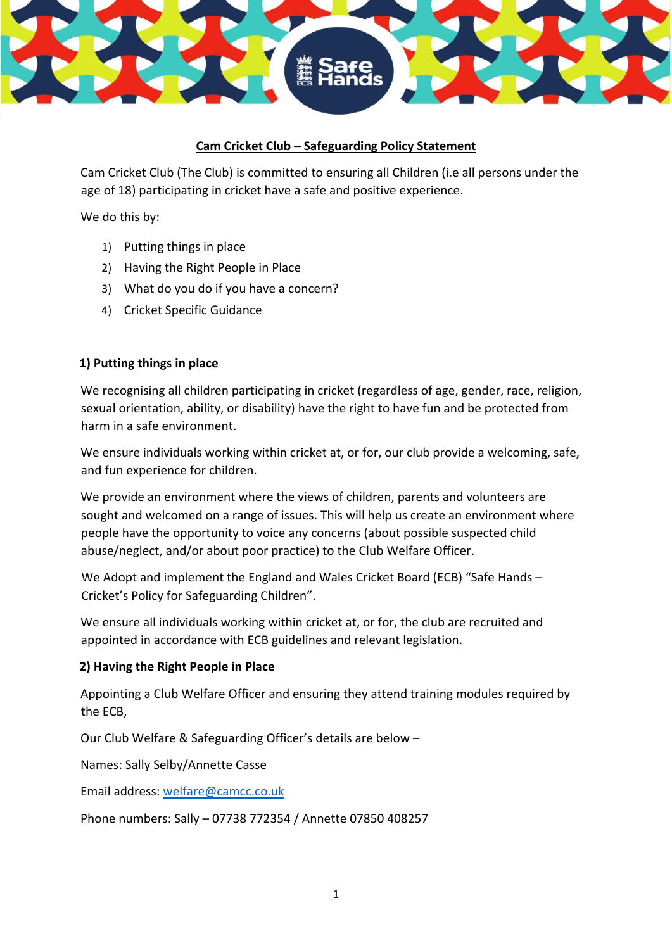# **Cam Cricket Club – Safeguarding Policy Statement**

Cam Cricket Club (The Club) is committed to ensuring all Children (i.e all persons under the age of 18) participating in cricket have a safe and positive experience.

We do this by:

- 1) Putting things in place
- 2) Having the Right People in Place
- 3) What do you do if you have a concern?
- 4) Cricket Specific Guidance

## **1) Putting things in place**

We recognising all children participating in cricket (regardless of age, gender, race, religion, sexual orientation, ability, or disability) have the right to have fun and be protected from harm in a safe environment.

We ensure individuals working within cricket at, or for, our club provide a welcoming, safe, and fun experience for children.

We provide an environment where the views of children, parents and volunteers are sought and welcomed on a range of issues. This will help us create an environment where people have the opportunity to voice any concerns (about possible suspected child abuse/neglect, and/or about poor practice) to the Club Welfare Officer.

We Adopt and implement the England and Wales Cricket Board (ECB) "Safe Hands – Cricket's Policy for Safeguarding Children".

We ensure all individuals working within cricket at, or for, the club are recruited and appointed in accordance with ECB guidelines and relevant legislation.

### **2) Having the Right People in Place**

Appointing a Club Welfare Officer and ensuring they attend training modules required by the ECB,

Our Club Welfare & Safeguarding Officer's details are below –

Names: Sally Selby/Annette Casse

Email address: welfare@camcc.co.uk

Phone numbers: Sally – 07738 772354 / Annette 07850 408257